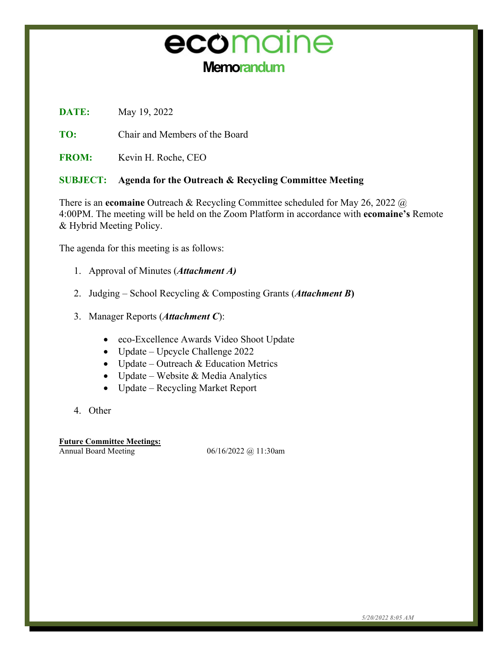# ecomaine **Memorandum**

**DATE:** May 19, 2022

**TO:** Chair and Members of the Board

**FROM:** Kevin H. Roche, CEO

#### **SUBJECT: Agenda for the Outreach & Recycling Committee Meeting**

There is an **ecomaine** Outreach & Recycling Committee scheduled for May 26, 2022 @ 4:00PM. The meeting will be held on the Zoom Platform in accordance with **ecomaine's** Remote & Hybrid Meeting Policy.

The agenda for this meeting is as follows:

- 1. Approval of Minutes (*Attachment A)*
- 2. Judging School Recycling & Composting Grants (*Attachment B***)**
- 3. Manager Reports (*Attachment C*):
	- eco-Excellence Awards Video Shoot Update
	- Update Upcycle Challenge 2022
	- Update Outreach & Education Metrics
	- Update Website & Media Analytics
	- Update Recycling Market Report
- 4. Other

**Future Committee Meetings:**

Annual Board Meeting 06/16/2022 @ 11:30am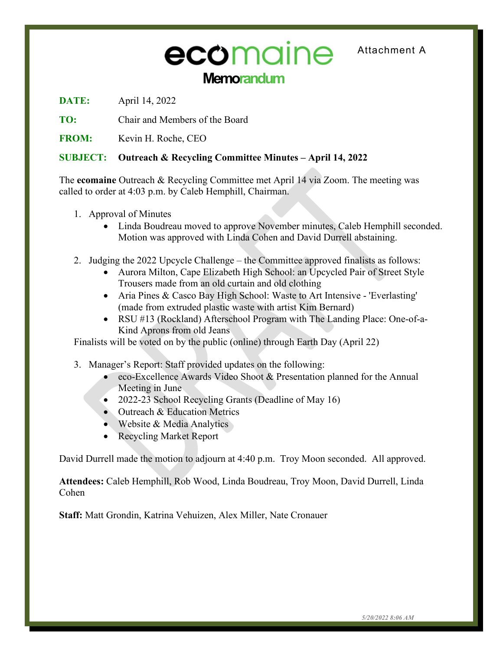# **Memorandum** ecomaine Attachment A

**DATE:** April 14, 2022

**TO:** Chair and Members of the Board

**FROM:** Kevin H. Roche, CEO

#### **SUBJECT: Outreach & Recycling Committee Minutes – April 14, 2022**

The **ecomaine** Outreach & Recycling Committee met April 14 via Zoom. The meeting was called to order at 4:03 p.m. by Caleb Hemphill, Chairman.

- 1. Approval of Minutes
	- Linda Boudreau moved to approve November minutes, Caleb Hemphill seconded. Motion was approved with Linda Cohen and David Durrell abstaining.
- 2. Judging the 2022 Upcycle Challenge the Committee approved finalists as follows:
	- Aurora Milton, Cape Elizabeth High School: an Upcycled Pair of Street Style Trousers made from an old curtain and old clothing
	- Aria Pines & Casco Bay High School: Waste to Art Intensive 'Everlasting' (made from extruded plastic waste with artist Kim Bernard)
	- RSU #13 (Rockland) Afterschool Program with The Landing Place: One-of-a-Kind Aprons from old Jeans

Finalists will be voted on by the public (online) through Earth Day (April 22)

- 3. Manager's Report: Staff provided updates on the following:
	- eco-Excellence Awards Video Shoot & Presentation planned for the Annual Meeting in June
	- 2022-23 School Recycling Grants (Deadline of May 16)
	- Outreach & Education Metrics
	- Website & Media Analytics
	- Recycling Market Report

David Durrell made the motion to adjourn at 4:40 p.m. Troy Moon seconded. All approved.

**Attendees:** Caleb Hemphill, Rob Wood, Linda Boudreau, Troy Moon, David Durrell, Linda Cohen

**Staff:** Matt Grondin, Katrina Vehuizen, Alex Miller, Nate Cronauer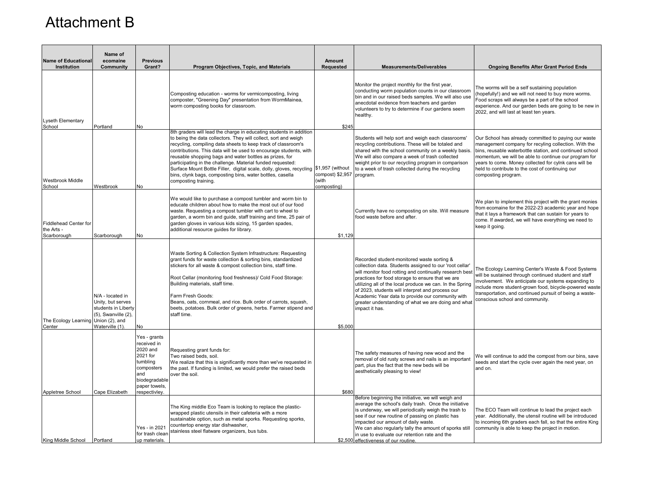## Attachment B

| <b>Name of Educational</b><br>Institution                 | Name of<br>ecomaine<br>Community                                                                            | <b>Previous</b><br>Grant?                                                                                                               | Program Objectives, Topic, and Materials                                                                                                                                                                                                                                                                                                                                                                                                                                                                                                                          | Amount<br><b>Requested</b>                                   | <b>Measurements/Deliverables</b>                                                                                                                                                                                                                                                                                                                                                                                                                                  | <b>Ongoing Benefits After Grant Period Ends</b>                                                                                                                                                                                                                                                                                                                       |
|-----------------------------------------------------------|-------------------------------------------------------------------------------------------------------------|-----------------------------------------------------------------------------------------------------------------------------------------|-------------------------------------------------------------------------------------------------------------------------------------------------------------------------------------------------------------------------------------------------------------------------------------------------------------------------------------------------------------------------------------------------------------------------------------------------------------------------------------------------------------------------------------------------------------------|--------------------------------------------------------------|-------------------------------------------------------------------------------------------------------------------------------------------------------------------------------------------------------------------------------------------------------------------------------------------------------------------------------------------------------------------------------------------------------------------------------------------------------------------|-----------------------------------------------------------------------------------------------------------------------------------------------------------------------------------------------------------------------------------------------------------------------------------------------------------------------------------------------------------------------|
| Lyseth Elementary<br>School                               | Portland                                                                                                    | No                                                                                                                                      | Composting education - worms for vermicomposting, living<br>composter, "Greening Day" presentation from WormMainea,<br>worm composting books for classroom.                                                                                                                                                                                                                                                                                                                                                                                                       | \$245                                                        | Monitor the project monthly for the first year,<br>conducting worm population counts in our classroom<br>bin and in our raised beds samples. We will also use<br>anecdotal evidence from teachers and garden<br>volunteers to try to determine if our gardens seem<br>healthy.                                                                                                                                                                                    | The worms will be a self sustaining population<br>(hopefully!) and we will not need to buy more worms.<br>Food scraps will always be a part of the school<br>experience. And our garden beds are going to be new in<br>2022, and will last at least ten years.                                                                                                        |
| Westbrook Middle<br>School                                | Westbrook                                                                                                   | No                                                                                                                                      | 8th graders will lead the charge in educating students in addition<br>to being the data collectors. They will collect, sort and weigh<br>recycling, compiling data sheets to keep track of classroom's<br>contributions. This data will be used to encourage students, with<br>reusable shopping bags and water bottles as prizes, for<br>participating in the challenge. Material funded requested:<br>Surface Mount Bottle Filler, digital scale, dolly, gloves, recycling<br>bins, clynk bags, composting bins, water bottles, casella<br>composting training. | \$1,957 (without<br>compost) \$2,957<br>(with<br>composting) | Students will help sort and weigh each classrooms'<br>recycling contributions. These will be totaled and<br>shared with the school community on a weekly basis.<br>We will also compare a week of trash collected<br>weight prior to our recycling program in comparison<br>to a week of trash collected during the recycling<br>program.                                                                                                                         | Our School has already committed to paying our waste<br>management company for recyling collection. With the<br>bins, reusable waterbottle station, and continued school<br>momentum, we will be able to continue our program for<br>years to come. Money collected for cylnk cans will be<br>held to contribute to the cost of continuing our<br>composting program. |
| <b>Fiddlehead Center for</b><br>the Arts -<br>Scarborough | Scarborough                                                                                                 | No                                                                                                                                      | We would like to purchase a compost tumbler and worm bin to<br>educate children about how to make the most out of our food<br>waste. Requesting a compost tumbler with cart to wheel to<br>garden, a worm bin and guide, staff training and time, 25 pair of<br>garden gloves in various kids sizing, 15 garden spades,<br>additional resource guides for library.                                                                                                                                                                                                | \$1.129                                                      | Currently have no composting on site. Will measure<br>food waste before and after.                                                                                                                                                                                                                                                                                                                                                                                | We plan to implement this project with the grant monies<br>from ecomaine for the 2022-23 academic year and hope<br>that it lays a framework that can sustain for years to<br>come. If awarded, we will have everything we need to<br>keep it going.                                                                                                                   |
| The Ecology Learning Union (2), and<br>Center             | N/A - located in<br>Unity, but serves<br>students in Liberty<br>$(5)$ , Swanville $(2)$ ,<br>Waterville (1) | No                                                                                                                                      | Waste Sorting & Collection System Infrastructure: Requesting<br>grant funds for waste collection & sorting bins, standardized<br>stickers for all waste & compost collection bins, staff time.<br>Root Cellar (monitoring food freshness)/ Cold Food Storage:<br>Building materials, staff time.<br>Farm Fresh Goods:<br>Beans, oats, cornmeal, and rice. Bulk order of carrots, squash,<br>beets, potatoes. Bulk order of greens, herbs. Farmer stipend and<br>staff time.                                                                                       | \$5,000                                                      | Recorded student-monitored waste sorting &<br>collection data. Students assigned to our 'root cellar'<br>will monitor food rotting and continually research best<br>practices for food storage to ensure that we are<br>utilizing all of the local produce we can. In the Spring<br>of 2023, students will interpret and process our<br>Academic Year data to provide our community with<br>greater understanding of what we are doing and what<br>impact it has. | The Ecology Learning Center's Waste & Food Systems<br>will be sustained through continued student and staff<br>involvement. We anticipate our systems expanding to<br>nclude more student-grown food, bicycle-powered waste<br>transportation, and continued pursuit of being a waste-<br>conscious school and community.                                             |
| Appletree School                                          | Cape Elizabeth                                                                                              | Yes - grants<br>received in<br>2020 and<br>2021 for<br>tumbling<br>composters<br>and<br>biodegradable<br>paper towels,<br>respectivlev. | Requesting grant funds for:<br>Two raised beds, soil.<br>We realize that this is significantly more than we've requested in<br>the past. If funding is limited, we would prefer the raised beds<br>over the soil.                                                                                                                                                                                                                                                                                                                                                 | \$680                                                        | The safety measures of having new wood and the<br>removal of old rusty screws and nails is an important<br>part, plus the fact that the new beds will be<br>aesthetically pleasing to view!                                                                                                                                                                                                                                                                       | We will continue to add the compost from our bins, save<br>seeds and start the cycle over again the next year, on<br>and on.                                                                                                                                                                                                                                          |
| King Middle School                                        | Portland                                                                                                    | Yes - in 2021<br>for trash clear<br>up materials.                                                                                       | The King middle Eco Team is looking to replace the plastic-<br>wrapped plastic utensils in their cafeteria with a more<br>sustainable option, such as metal sporks. Requesting sporks,<br>countertop energy star dishwasher,<br>stainless steel flatware organizers, bus tubs.                                                                                                                                                                                                                                                                                    |                                                              | Before beginning the initiative, we will weigh and<br>average the school's daily trash. Once the initiative<br>is underway, we will periodically weigh the trash to<br>see if our new routine of passing on plastic has<br>impacted our amount of daily waste.<br>We can also regularly tally the amount of sporks still<br>in use to evaluate our retention rate and the<br>\$2,500 effectiveness of our routine.                                                | The ECO Team will continue to lead the project each<br>year. Additionally, the utensil routine will be introduced<br>to incoming 6th graders each fall, so that the entire King<br>community is able to keep the project in motion.                                                                                                                                   |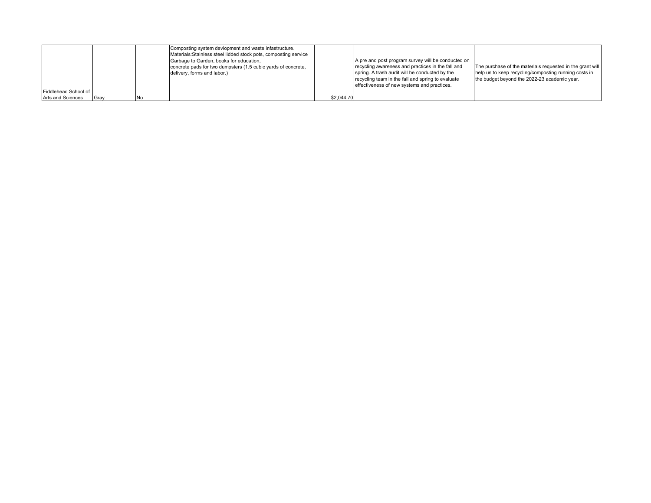|                      |      | Composting system devlopment and waste infastructure.<br>Materials: Stainless steel lidded stock pots, composting service |            |                                                    |                                                           |
|----------------------|------|---------------------------------------------------------------------------------------------------------------------------|------------|----------------------------------------------------|-----------------------------------------------------------|
|                      |      | Garbage to Garden, books for education,                                                                                   |            | A pre and post program survey will be conducted on |                                                           |
|                      |      | concrete pads for two dumpsters (1.5 cubic yards of concrete,                                                             |            | recycling awareness and practices in the fall and  | The purchase of the materials requested in the grant will |
|                      |      | delivery, forms and labor.)                                                                                               |            | spring. A trash audit will be conducted by the     | help us to keep recycling/composting running costs in     |
|                      |      |                                                                                                                           |            | recycling team in the fall and spring to evaluate  | the budget bevond the 2022-23 academic year.              |
|                      |      |                                                                                                                           |            | effectiveness of new systems and practices.        |                                                           |
| Fiddlehead School of |      |                                                                                                                           |            |                                                    |                                                           |
| Arts and Sciences    | Grav |                                                                                                                           | \$2.044.70 |                                                    |                                                           |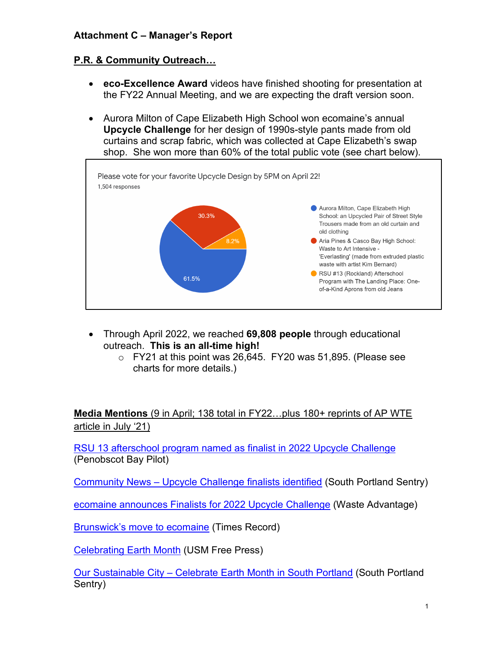#### **Attachment C – Manager's Report**

#### **P.R. & Community Outreach…**

- **eco-Excellence Award** videos have finished shooting for presentation at the FY22 Annual Meeting, and we are expecting the draft version soon.
- Aurora Milton of Cape Elizabeth High School won ecomaine's annual **Upcycle Challenge** for her design of 1990s-style pants made from old curtains and scrap fabric, which was collected at Cape Elizabeth's swap shop. She won more than 60% of the total public vote (see chart below).



- Through April 2022, we reached **69,808 people** through educational outreach. **This is an all-time high!**
	- o FY21 at this point was 26,645. FY20 was 51,895. (Please see charts for more details.)

**Media Mentions** (9 in April; 138 total in FY22…plus 180+ reprints of AP WTE article in July '21)

[RSU 13 afterschool program named as finalist in 2022 Upcycle Challenge](https://www.penbaypilot.com/article/rsu-13-afterschool-program-named-finalist-2022-upcycle-challenge/159250) (Penobscot Bay Pilot)

Community News – [Upcycle Challenge finalists identified](https://www.pressherald.com/2022/04/20/community-news-upcycle-challenge-finalists-identified/) (South Portland Sentry)

[ecomaine announces Finalists for 2022 Upcycle Challenge](https://wasteadvantagemag.com/ecomaine-announces-finalists-for-2022-upcycle-challenge/) (Waste Advantage)

[Brunswick's move to ecomaine](https://newspaper.pressherald.com/infinity/article_popover_share.aspx?guid=58fed307-1030-409a-a9f3-6a7a4fc0200b) (Times Record)

[Celebrating Earth Month](https://usmfreepress.org/2022/04/26/celebrating-earth-month/) (USM Free Press)

Our Sustainable City – [Celebrate Earth Month in South Portland](https://www.pressherald.com/2022/04/14/our-sustainable-city-celebrate-earth-month-in-south-portland/) (South Portland Sentry)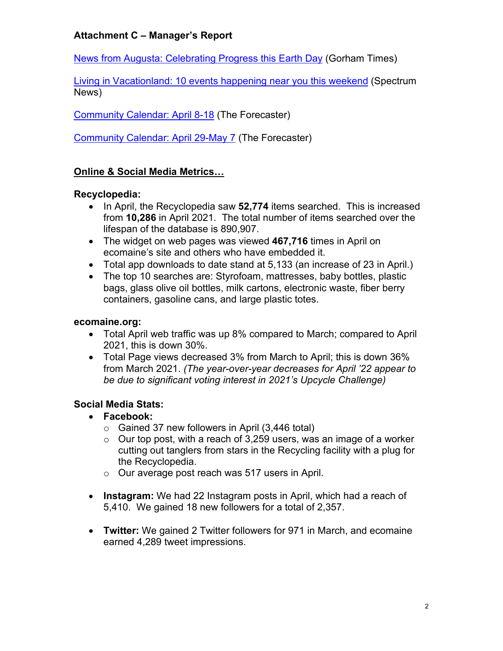#### **Attachment C – Manager's Report**

[News from Augusta: Celebrating Progress this Earth Day](https://www.gorhamtimes.com/news-from-augusta-celebrating-progress-this-earth-day/) (Gorham Times)

[Living in Vacationland: 10 events happening near you this weekend](https://spectrumlocalnews.com/me/maine/news/2022/04/14/events-happening-near-you-april-15-17-) (Spectrum News)

[Community Calendar: April 8-18](https://www.pressherald.com/2022/04/04/community-calendar-april-8-18/) (The Forecaster)

[Community Calendar: April 29-May 7](https://www.pressherald.com/2022/04/25/community-calendar-april-29-may-7/) (The Forecaster)

#### **Online & Social Media Metrics…**

#### **Recyclopedia:**

- In April, the Recyclopedia saw **52,774** items searched. This is increased from **10,286** in April 2021. The total number of items searched over the lifespan of the database is 890,907.
- The widget on web pages was viewed **467,716** times in April on ecomaine's site and others who have embedded it.
- Total app downloads to date stand at 5,133 (an increase of 23 in April.)
- The top 10 searches are: Styrofoam, mattresses, baby bottles, plastic bags, glass olive oil bottles, milk cartons, electronic waste, fiber berry containers, gasoline cans, and large plastic totes.

#### **ecomaine.org:**

- Total April web traffic was up 8% compared to March; compared to April 2021, this is down 30%.
- Total Page views decreased 3% from March to April; this is down 36% from March 2021. *(The year-over-year decreases for April '22 appear to be due to significant voting interest in 2021's Upcycle Challenge)*

#### **Social Media Stats:**

- **Facebook:**
	- $\circ$  Gained 37 new followers in April (3,446 total)
	- $\circ$  Our top post, with a reach of 3,259 users, was an image of a worker cutting out tanglers from stars in the Recycling facility with a plug for the Recyclopedia.
	- o Our average post reach was 517 users in April.
- **Instagram:** We had 22 Instagram posts in April, which had a reach of 5,410. We gained 18 new followers for a total of 2,357.
- **Twitter:** We gained 2 Twitter followers for 971 in March, and ecomaine earned 4,289 tweet impressions.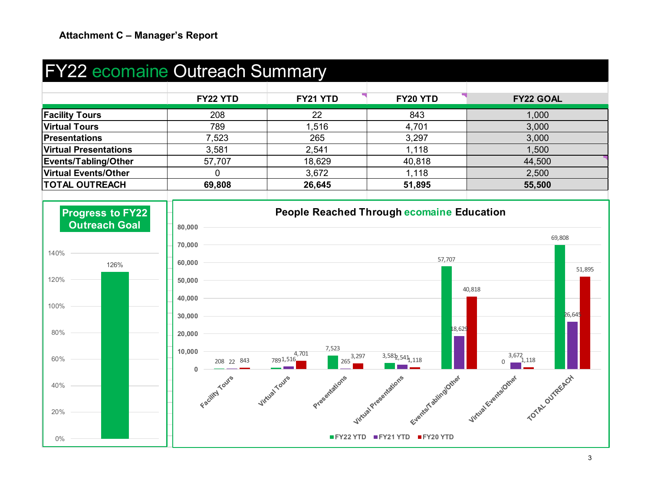## FY22 ecomaine Outreach Summary

|                              | FY22 YTD | FY21 YTD | FY20 YTD | <b>FY22 GOAL</b> |
|------------------------------|----------|----------|----------|------------------|
| <b>Facility Tours</b>        | 208      | 22       | 843      | 1,000            |
| <b>Virtual Tours</b>         | 789      | 1,516    | 4,701    | 3,000            |
| Presentations                | 7,523    | 265      | 3,297    | 3,000            |
| <b>Virtual Presentations</b> | 3,581    | 2,541    | 1,118    | 1,500            |
| Events/Tabling/Other         | 57,707   | 18,629   | 40,818   | 44,500           |
| <b>Virtual Events/Other</b>  |          | 3,672    | 1,118    | 2,500            |
| <b>TOTAL OUTREACH</b>        | 69,808   | 26,645   | 51,895   | 55,500           |
|                              |          |          |          |                  |